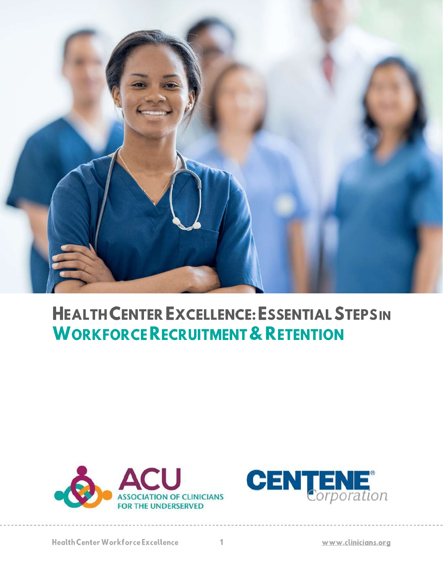

# **HEALTH CENTER EXCELLENCE: ESSENTIAL STEPSIN WORKFORCE RECRUITMENT & RETENTION**



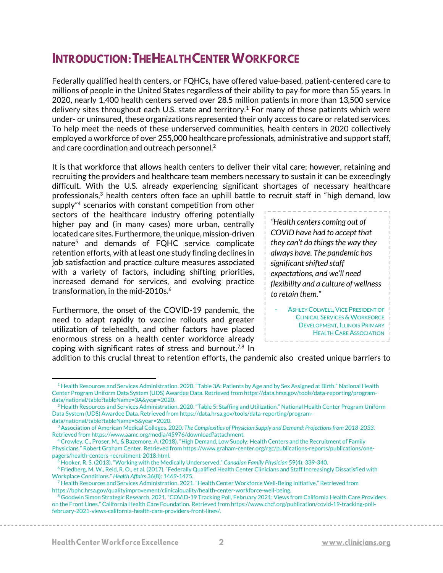# **INTRODUCTION: THE HEALTH CENTER WORKFORCE**

Federally qualified health centers, or FQHCs, have offered value-based, patient-centered care to millions of people in the United States regardless of their ability to pay for more than 55 years. In 2020, nearly 1,400 health centers served over 28.5 million patients in more than 13,500 service delivery sites throughout each U.S. state and territory.<sup>1</sup> For many of these patients which were under- or uninsured, these organizations represented their only access to care or related services. To help meet the needs of these underserved communities, health centers in 2020 collectively employed a workforce of over 255,000 healthcare professionals, administrative and support staff, and care coordination and outreach personnel.<sup>2</sup>

It is that workforce that allows health centers to deliver their vital care; however, retaining and recruiting the providers and healthcare team members necessary to sustain it can be exceedingly difficult. With the U.S. already experiencing significant shortages of necessary healthcare professionals,<sup>3</sup> health centers often face an uphill battle to recruit staff in "high demand, low

supply"<sup>4</sup> scenarios with constant competition from other sectors of the healthcare industry offering potentially higher pay and (in many cases) more urban, centrally located care sites. Furthermore, the unique, mission-driven nature<sup>5</sup> and demands of FQHC service complicate retention efforts, with at least one study finding declines in job satisfaction and practice culture measures associated with a variety of factors, including shifting priorities, increased demand for services, and evolving practice transformation, in the mid-2010s. 6

Furthermore, the onset of the COVID-19 pandemic, the need to adapt rapidly to vaccine rollouts and greater utilization of telehealth, and other factors have placed enormous stress on a health center workforce already coping with significant rates of stress and burnout.<sup>7,8</sup> In

*"Health centers coming out of COVID have had to accept that they can't do things the way they always have. The pandemic has significant shifted staff expectations, and we'll need flexibility and a culture of wellness to retain them."*

ASHLEY COLWELL, VICE PRESIDENT OF **CLINICAL SERVICES & WORKFORCE** DEVELOPMENT, ILLINOIS PRIMARY HEALTH CARE ASSOCIATION

addition to this crucial threat to retention efforts, the pandemic also created unique barriers to

<sup>&</sup>lt;sup>1</sup> Health Resources and Services Administration. 2020. "Table 3A: Patients by Age and by Sex Assigned at Birth." National Health Center Program Uniform Data System (UDS) Awardee Data. Retrieved from https://data.hrsa.gov/tools/data-reporting/programdata/national/table?tableName=3A&year=2020.

<sup>&</sup>lt;sup>2</sup> Health Resources and Services Administration. 2020. "Table 5: Staffing and Utilization." National Health Center Program Uniform Data System (UDS) Awardee Data. Retrieved from https://data.hrsa.gov/tools/data-reporting/programdata/national/table?tableName=5&year=2020.

<sup>3</sup> Association of American Medical Colleges. 2020. *The Complexities of Physician Supply and Demand: Projections from 2018-2033.*  Retrieved from https://www.aamc.org/media/45976/download?attachment.

<sup>4</sup> Crowley, C., Proser, M., & Bazemore, A. (2018). "High Demand, Low Supply: Health Centers and the Recruitment of Family Physicians." Robert Graham Center. Retrieved from https://www.graham-center.org/rgc/publications-reports/publications/onepagers/health-centers-recruitment-2018.html.

<sup>5</sup> Hooker, R. S. (2013). "Working with the Medically Underserved." *Canadian Family Physician* 59(4): 339-340.

<sup>6</sup> Friedberg, M. W., Reid, R. O., et al. (2017). "Federally Qualified Health Center Clinicians and Staff Increasingly Dissatisfied with Workplace Conditions." *Health Affairs* 36(8): 1469-1475.

<sup>7</sup> Health Resources and Services Administration. 2021. "Health Center Workforce Well-Being Initiative." Retrieved from https://bphc.hrsa.gov/qualityimprovement/clinicalquality/health-center-workforce-well-being.

<sup>&</sup>lt;sup>8</sup> Goodwin Simon Strategic Research. 2021. "COVID-19 Tracking Poll, February 2021: Views from California Health Care Providers on the Front Lines." California Health Care Foundation. Retrieved from https://www.chcf.org/publication/covid-19-tracking-pollfebruary-2021-views-california-health-care-providers-front-lines/.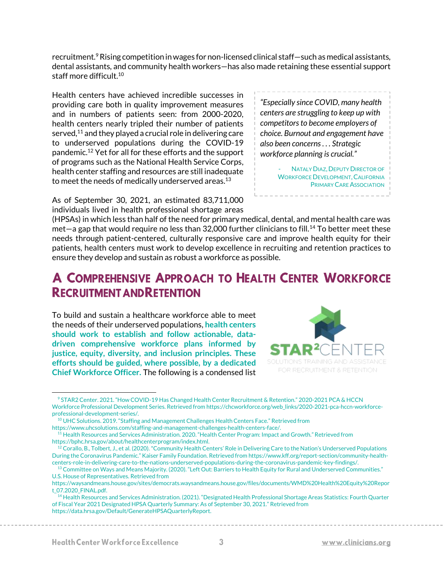recruitment.<sup>9</sup> Rising competition in wages for non-licensed clinical staff—such as medical assistants, dental assistants, and community health workers—has also made retaining these essential support staff more difficult.<sup>10</sup>

Health centers have achieved incredible successes in providing care both in quality improvement measures and in numbers of patients seen: from 2000-2020, health centers nearly tripled their number of patients served,<sup>11</sup> and they played a crucial role in delivering care to underserved populations during the COVID-19 pandemic.<sup>12</sup> Yet for all for these efforts and the support of programs such as the National Health Service Corps, health center staffing and resources are still inadequate to meet the needs of medically underserved areas. $^{\rm 13}$ 

As of September 30, 2021, an estimated 83,711,000 individuals lived in health professional shortage areas

(HPSAs) in which less than half of the need for primary medical, dental, and mental health care was met—a gap that would require no less than 32,000 further clinicians to fill.<sup>14</sup> To better meet these needs through patient-centered, culturally responsive care and improve health equity for their patients, health centers must work to develop excellence in recruiting and retention practices to ensure they develop and sustain as robust a workforce as possible.

# A COMPREHENSIVE APPROACH TO HEALTH CENTER WORKFORCE **RECRUITMENT AND RETENTION**

To build and sustain a healthcare workforce able to meet the needs of their underserved populations, **health centers should work to establish and follow actionable, datadriven comprehensive workforce plans informed by justice, equity, diversity, and inclusion principles. These efforts should be guided, where possible, by a dedicated Chief Workforce Officer.** The following is a condensed list



<sup>9</sup> STAR2 Center. 2021. "How COVID-19 Has Changed Health Center Recruitment & Retention." 2020-2021 PCA & HCCN Workforce Professional Development Series. Retrieved from https://chcworkforce.org/web\_links/2020-2021-pca-hccn-workforceprofessional-development-series/.

*centers are struggling to keep up with competitors to become employers of choice. Burnout and engagement have also been concerns . . . Strategic workforce planning is crucial."*

*"Especially since COVID, many health* 

**NATALY DIAZ, DEPUTY DIRECTOR OF** WORKFORCE DEVELOPMENT, CALIFORNIA PRIMARY CARE ASSOCIATION

<sup>&</sup>lt;sup>10</sup> UHC Solutions. 2019. "Staffing and Management Challenges Health Centers Face." Retrieved from https://www.uhcsolutions.com/staffing-and-management-challenges-health-centers-face/.

<sup>&</sup>lt;sup>11</sup> Health Resources and Services Administration. 2020. "Health Center Program: Impact and Growth." Retrieved from https://bphc.hrsa.gov/about/healthcenterprogram/index.html.

<sup>&</sup>lt;sup>12</sup> Corallo, B., Tolbert, J., et al. (2020). "Community Health Centers' Role in Delivering Care to the Nation's Underserved Populations During the Coronavirus Pandemic." Kaiser Family Foundation. Retrieved from https://www.kff.org/report-section/community-healthcenters-role-in-delivering-care-to-the-nations-underserved-populations-during-the-coronavirus-pandemic-key-findings/.

<sup>&</sup>lt;sup>13</sup> Committee on Ways and Means Majority. (2020). "Left Out: Barriers to Health Equity for Rural and Underserved Communities." U.S. House of Representatives. Retrieved from

https://waysandmeans.house.gov/sites/democrats.waysandmeans.house.gov/files/documents/WMD%20Health%20Equity%20Repor t\_07.2020\_FINAL.pdf.

<sup>&</sup>lt;sup>14</sup> Health Resources and Services Administration. (2021). "Designated Health Professional Shortage Areas Statistics: Fourth Quarter of Fiscal Year 2021 Designated HPSA Quarterly Summary: As of September 30, 2021." Retrieved from https://data.hrsa.gov/Default/GenerateHPSAQuarterlyReport.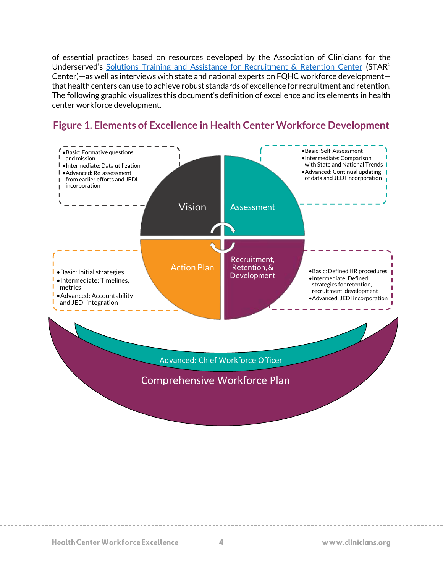of essential practices based on resources developed by the Association of Clinicians for the Underserved's [Solutions Training and Assistance for Recruitment & Retention Center](https://chcworkforce.org/) (STAR<sup>2</sup>) Center)—as well as interviews with state and national experts on FQHC workforce development that health centers can use to achieve robust standards of excellence for recruitment and retention. The following graphic visualizes this document's definition of excellence and its elements in health center workforce development.



## **Figure 1. Elements of Excellence in Health Center Workforce Development**

**Health Center Workforce Excellence**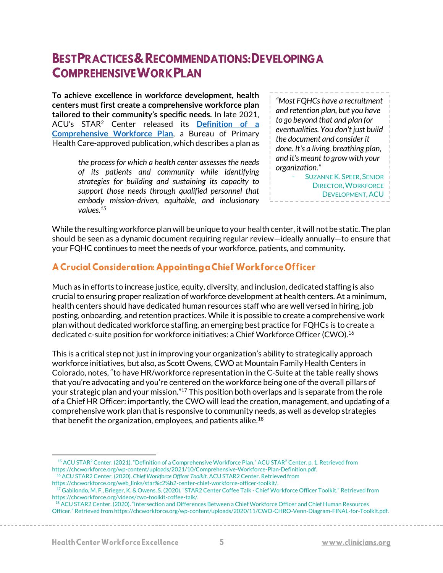# **BESTPRACTICES & RECOMMENDATIONS: DEVELOPING A COMPREHENSIVE WORK PLAN**

**To achieve excellence in workforce development, health centers must first create a comprehensive workforce plan tailored to their community's specific needs.** In late 2021, ACU's STAR<sup>2</sup> Center released its **[Definition of a](https://chcworkforce.org/web_links/comprehensive-workforce-plan/)  [Comprehensive Workforce Plan](https://chcworkforce.org/web_links/comprehensive-workforce-plan/)**, a Bureau of Primary Health Care-approved publication, which describes a plan as

> *the process for which a health center assesses the needs of its patients and community while identifying strategies for building and sustaining its capacity to support those needs through qualified personnel that embody mission-driven, equitable, and inclusionary values.<sup>15</sup>*

*"Most FQHCs have a recruitment and retention plan, but you have to go beyond that and plan for eventualities. You don't just build the document and consider it done. It's a living, breathing plan, and it's meant to grow with your organization."*

SUZANNE K. SPEER, SENIOR DIRECTOR,WORKFORCE DEVELOPMENT, ACU

While the resulting workforce plan will be unique to your health center, it will not be static. The plan should be seen as a dynamic document requiring regular review—ideally annually—to ensure that your FQHC continues to meet the needs of your workforce, patients, and community.

#### A Crucial Consideration: Appointing a Chief Workforce Officer

Much as in efforts to increase justice, equity, diversity, and inclusion, dedicated staffing is also crucial to ensuring proper realization of workforce development at health centers. At a minimum, health centers should have dedicated human resources staff who are well versed in hiring, job posting, onboarding, and retention practices. While it is possible to create a comprehensive work plan without dedicated workforce staffing, an emerging best practice for FQHCs is to create a dedicated c-suite position for workforce initiatives: a Chief Workforce Officer (CWO).<sup>16</sup>

This is a critical step not just in improving your organization's ability to strategically approach workforce initiatives, but also, as Scott Owens, CWO at Mountain Family Health Centers in Colorado, notes, "to have HR/workforce representation in the C-Suite at the table really shows that you're advocating and you're centered on the workforce being one of the overall pillars of your strategic plan and your mission."<sup>17</sup> This position both overlaps and is separate from the role of a Chief HR Officer: importantly, the CWO will lead the creation, management, and updating of a comprehensive work plan that is responsive to community needs, as well as develop strategies that benefit the organization, employees, and patients alike.<sup>18</sup>

https://chcworkforce.org/web\_links/star%c2%b2-center-chief-workforce-officer-toolkit/.

<sup>&</sup>lt;sup>15</sup> ACU STAR<sup>2</sup> Center. (2021). "Definition of a Comprehensive Workforce Plan." ACU STAR<sup>2</sup> Center. p. 1. Retrieved from https://chcworkforce.org/wp-content/uploads/2021/10/Comprehensive-Workforce-Plan-Definition.pdf. <sup>16</sup> ACU STAR2 Center. (2020). *Chief Workforce Officer Toolkit.* ACU STAR2 Center. Retrieved from

 $^{17}$ Gabilondo, M. F., Brieger, K. & Owens, S. (2020). "STAR2 Center Coffee Talk - Chief Workforce Officer Toolkit." Retrieved from https://chcworkforce.org/videos/cwo-toolkit-coffee-talk/.

<sup>18</sup> ACU STAR2 Center. (2020). "Intersection and Differences Between a Chief Workforce Officer and Chief Human Resources Officer." Retrieved from https://chcworkforce.org/wp-content/uploads/2020/11/CWO-CHRO-Venn-Diagram-FINAL-for-Toolkit.pdf.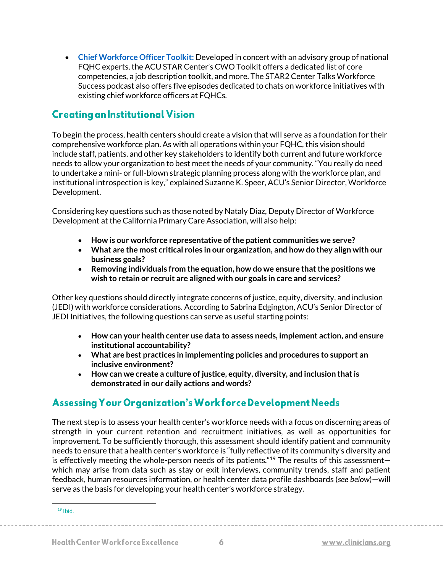• **[Chief Workforce Officer Toolkit:](https://chcworkforce.org/web_links/star%c2%b2-center-chief-workforce-officer-toolkit/)** Developed in concert with an advisory group of national FQHC experts, the ACU STAR Center's CWO Toolkit offers a dedicated list of core competencies, a job description toolkit, and more. The STAR2 Center Talks Workforce Success podcast also offers five episodes dedicated to chats on workforce initiatives with existing chief workforce officers at FQHCs.

### **Creating an Institutional Vision**

To begin the process, health centers should create a vision that will serve as a foundation for their comprehensive workforce plan. As with all operations within your FQHC, this vision should include staff, patients, and other key stakeholders to identify both current and future workforce needs to allow your organization to best meet the needs of your community. "You really do need to undertake a mini- or full-blown strategic planning process along with the workforce plan, and institutional introspection is key," explained Suzanne K. Speer, ACU's Senior Director, Workforce Development.

Considering key questions such as those noted by Nataly Diaz, Deputy Director of Workforce Development at the California Primary Care Association, will also help:

- **How is our workforce representative of the patient communities we serve?**
- **What are the most critical roles in our organization, and how do they align with our business goals?**
- **Removing individuals from the equation, how do we ensure that the positions we wish to retain or recruit are aligned with our goals in care and services?**

Other key questions should directly integrate concerns of justice, equity, diversity, and inclusion (JEDI) with workforce considerations. According to Sabrina Edgington, ACU's Senior Director of JEDI Initiatives, the following questions can serve as useful starting points:

- **How can your health center use data to assess needs, implement action, and ensure institutional accountability?**
- **What are best practices in implementing policies and procedures to support an inclusive environment?**
- **How can we create a culture of justice, equity, diversity, and inclusion that is demonstrated in our daily actions and words?**

# **Assessing Your Organization's Workforce Development Needs**

The next step is to assess your health center's workforce needs with a focus on discerning areas of strength in your current retention and recruitment initiatives, as well as opportunities for improvement. To be sufficiently thorough, this assessment should identify patient and community needs to ensure that a health center's workforce is "fully reflective of its community's diversity and is effectively meeting the whole-person needs of its patients." $19$  The results of this assessmentwhich may arise from data such as stay or exit interviews, community trends, staff and patient feedback, human resources information, or health center data profile dashboards (*see below*)—will serve as the basis for developing your health center's workforce strategy.

 $19$  Ibid.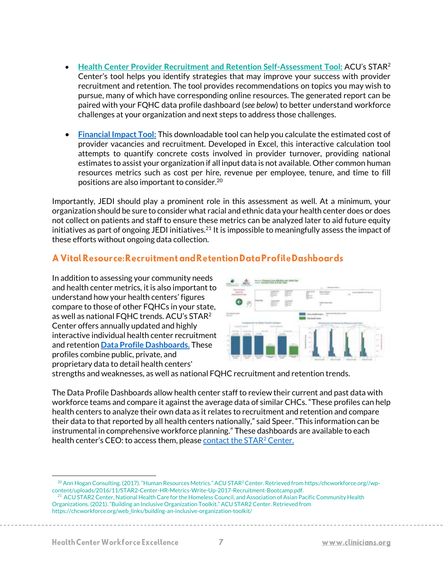- **[Health Center Provider Recruitment and Retention Self-Assessment Tool:](https://chcworkforce.org/web_links/acu-self-assessment-tool/)** ACU's STAR<sup>2</sup> Center's tool helps you identify strategies that may improve your success with provider recruitment and retention. The tool provides recommendations on topics you may wish to pursue, many of which have corresponding online resources. The generated report can be paired with your FQHC data profile dashboard (*see below*) to better understand workforce challenges at your organization and next steps to address those challenges.
- **[Financial Impact Tool:](https://chcworkforce.org/web_links/star%c2%b2-center-financial-assessment-tool/)** This downloadable tool can help you calculate the estimated cost of provider vacancies and recruitment. Developed in Excel, this interactive calculation tool attempts to quantify concrete costs involved in provider turnover, providing national estimates to assist your organization if all input data is not available. Other common human resources metrics such as cost per hire, revenue per employee, tenure, and time to fill positions are also important to consider.<sup>20</sup>

Importantly, JEDI should play a prominent role in this assessment as well. At a minimum, your organization should be sure to consider what racial and ethnic data your health center does or does not collect on patients and staff to ensure these metrics can be analyzed later to aid future equity initiatives as part of ongoing JEDI initiatives.<sup>21</sup> It is impossible to meaningfully assess the impact of these efforts without ongoing data collection.

#### A Vital Resource: Recruitment and Retention Data Profile Dashboards

In addition to assessing your community needs and health center metrics, it is also important to understand how your health centers' figures compare to those of other FQHCs in your state, as well as national FQHC trends. ACU's STAR<sup>2</sup> Center offers annually updated and highly interactive individual health center recruitment and retention **[Data Profile Dashboards.](https://chcworkforce.org/web_links/star%c2%b2-center-individual-recruitment-retention-data-profiles/)** These profiles combine public, private, and proprietary data to detail health centers'



strengths and weaknesses, as well as national FQHC recruitment and retention trends.

The Data Profile Dashboards allow health center staff to review their current and past data with workforce teams and compare it against the average data of similar CHCs. "These profiles can help health centers to analyze their own data as it relates to recruitment and retention and compare their data to that reported by all health centers nationally," said Speer. "This information can be instrumental in comprehensive workforce planning." These dashboards are available to each health center's CEO: to access them, please [contact the STAR](mailto:mblake@clinicians.org)<sup>2</sup> Center.

<sup>&</sup>lt;sup>20</sup> Ann Hogan Consulting. (2017). "Human Resources Metrics." ACU STAR<sup>2</sup> Center. Retrieved from https:/chcworkforce.org//wpcontent/uploads/2016/11/STAR2-Center-HR-Metrics-Write-Up-2017-Recruitment-Bootcamp.pdf.

<sup>&</sup>lt;sup>21</sup> ACU STAR2 Center, National Health Care for the Homeless Council, and Association of Asian Pacific Community Health Organizations. (2021). "Building an Inclusive Organization Toolkit." ACU STAR2 Center. Retrieved from https://chcworkforce.org/web\_links/building-an-inclusive-organization-toolkit/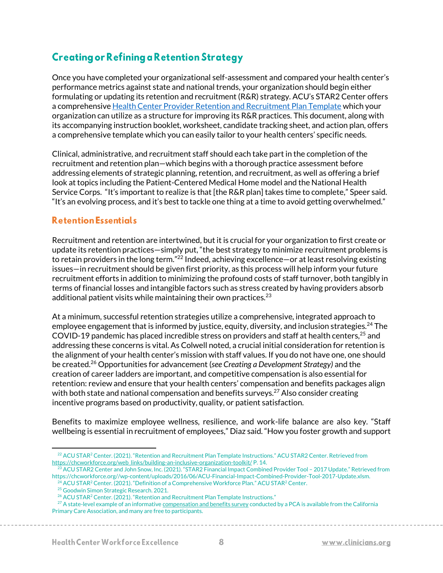# **Creating or Refining a Retention Strategy**

Once you have completed your organizational self-assessment and compared your health center's performance metrics against state and national trends, your organization should begin either formulating or updating its retention and recruitment (R&R) strategy. ACU's STAR2 Center offers a comprehensiv[e Health Center Provider Retention and Recruitment Plan Template](https://chcworkforce.org/web_links/acu-rr-plan-template-resources/) which your organization can utilize as a structure for improving its R&R practices. This document, along with its accompanying instruction booklet, worksheet, candidate tracking sheet, and action plan, offers a comprehensive template which you can easily tailor to your health centers' specific needs.

Clinical, administrative, and recruitment staff should each take part in the completion of the recruitment and retention plan—which begins with a thorough practice assessment before addressing elements of strategic planning, retention, and recruitment, as well as offering a brief look at topics including the Patient-Centered Medical Home model and the National Health Service Corps. "It's important to realize is that [the R&R plan] takes time to complete," Speer said. "It's an evolving process, and it's best to tackle one thing at a time to avoid getting overwhelmed."

#### **Retention Essentials**

Recruitment and retention are intertwined, but it is crucial for your organization to first create or update its retention practices—simply put, "the best strategy to minimize recruitment problems is to retain providers in the long term."<sup>22</sup> Indeed, achieving excellence—or at least resolving existing issues—in recruitment should be given first priority, as this process will help inform your future recruitment efforts in addition to minimizing the profound costs of staff turnover, both tangibly in terms of financial losses and intangible factors such as stress created by having providers absorb additional patient visits while maintaining their own practices. $23$ 

At a minimum, successful retention strategies utilize a comprehensive, integrated approach to employee engagement that is informed by justice, equity, diversity, and inclusion strategies.<sup>24</sup> The COVID-19 pandemic has placed incredible stress on providers and staff at health centers,<sup>25</sup> and addressing these concerns is vital. As Colwell noted, a crucial initial consideration for retention is the alignment of your health center's mission with staff values. If you do not have one, one should be created.<sup>26</sup> Opportunities for advancement (*see Creating a Development Strategy)* and the creation of career ladders are important, and competitive compensation is also essential for retention: review and ensure that your health centers' compensation and benefits packages align with both state and national compensation and benefits surveys.<sup>27</sup> Also consider creating incentive programs based on productivity, quality, or patient satisfaction.

Benefits to maximize employee wellness, resilience, and work-life balance are also key. "Staff wellbeing is essential in recruitment of employees," Diaz said. "How you foster growth and support

<sup>&</sup>lt;sup>22</sup> ACU STAR<sup>2</sup> Center. (2021). "Retention and Recruitment Plan Template Instructions." ACU STAR2 Center. Retrieved from [https://chcworkforce.org/web\\_links/building-an-inclusive-organization-toolkit/](https://chcworkforce.org/web_links/building-an-inclusive-organization-toolkit/) P. 14.

<sup>23</sup> ACU STAR2 Center and John Snow, Inc. (2021). "STAR2 Financial Impact Combined Provider Tool – 2017 Update." Retrieved from https://chcworkforce.org//wp-content/uploads/2016/06/ACU-Financial-Impact-Combined-Provider-Tool-2017-Update.xlsm.

<sup>&</sup>lt;sup>24</sup> ACU STAR<sup>2</sup> Center. (2021). "Definition of a Comprehensive Workforce Plan." ACU STAR<sup>2</sup> Center.

<sup>25</sup> Goodwin Simon Strategic Research. 2021.

<sup>&</sup>lt;sup>26</sup> ACU STAR<sup>2</sup> Center. (2021). "Retention and Recruitment Plan Template Instructions."

 $^{27}$  A state-level example of an informativ[e compensation and benefits survey](https://www.cpca.org/CPCA/Health_Center_Resources/Workforce/Salary___Workforce_Survey_Reports/CPCA/HEALTH_CENTER_RESOURCES/Workforce/Salary%20and%20Workforce%20Survey%20Reports.aspx?hkey=9870a95e-6466-4d7a-8bfa-1dabfabce733) conducted by a PCA is available from the California Primary Care Association, and many are free to participants.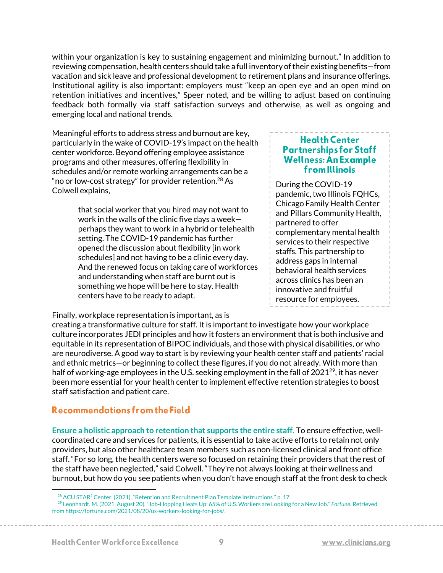within your organization is key to sustaining engagement and minimizing burnout." In addition to reviewing compensation, health centers should take a full inventory of their existing benefits—from vacation and sick leave and professional development to retirement plans and insurance offerings. Institutional agility is also important: employers must "keep an open eye and an open mind on retention initiatives and incentives," Speer noted, and be willing to adjust based on continuing feedback both formally via staff satisfaction surveys and otherwise, as well as ongoing and emerging local and national trends.

Meaningful efforts to address stress and burnout are key, particularly in the wake of COVID-19's impact on the health center workforce. Beyond offering employee assistance programs and other measures, offering flexibility in schedules and/or remote working arrangements can be a "no or low-cost strategy" for provider retention.<sup>28</sup> As Colwell explains,

> that social worker that you hired may not want to work in the walls of the clinic five days a week perhaps they want to work in a hybrid or telehealth setting. The COVID-19 pandemic has further opened the discussion about flexibility [in work schedules] and not having to be a clinic every day. And the renewed focus on taking care of workforces and understanding when staff are burnt out is something we hope will be here to stay. Health centers have to be ready to adapt.

#### **Partnerships for Staff** Wellness: An Example **from** Illinois During the COVID-19

**Health Center** 

pandemic, two Illinois FQHCs, Chicago Family Health Center and Pillars Community Health, partnered to offer complementary mental health services to their respective staffs. This partnership to address gaps in internal behavioral health services across clinics has been an innovative and fruitful resource for employees.

Finally, workplace representation is important, as is

creating a transformative culture for staff. It is important to investigate how your workplace culture incorporates JEDI principles and how it fosters an environment that is both inclusive and equitable in its representation of BIPOC individuals, and those with physical disabilities, or who are neurodiverse. A good way to start is by reviewing your health center staff and patients' racial and ethnic metrics—or beginning to collect these figures, if you do not already. With more than half of working-age employees in the U.S. seeking employment in the fall of  $2021^{29}$ , it has never been more essential for your health center to implement effective retention strategies to boost staff satisfaction and patient care.

#### Recommendations from the Field

**Ensure a holistic approach to retention that supports the entire staff.** To ensure effective, wellcoordinated care and services for patients, it is essential to take active efforts to retain not only providers, but also other healthcare team members such as non-licensed clinical and front office staff. "For so long, the health centers were so focused on retaining their providers that the rest of the staff have been neglected," said Colwell. "They're not always looking at their wellness and burnout, but how do you see patients when you don't have enough staff at the front desk to check

 $^{28}$  ACU STAR<sup>2</sup> Center. (2021). "Retention and Recruitment Plan Template Instructions." p. 17.

<sup>29</sup> Leonhardt, M. (2021, August 20). "Job-Hopping Heats Up: 65% of U.S. Workers are Looking for a New Job." *Fortune*. Retrieved from https://fortune.com/2021/08/20/us-workers-looking-for-jobs/.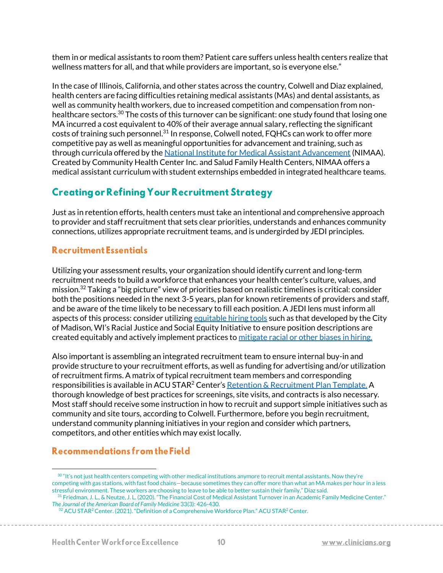them in or medical assistants to room them? Patient care suffers unless health centers realize that wellness matters for all, and that while providers are important, so is everyone else."

In the case of Illinois, California, and other states across the country, Colwell and Diaz explained, health centers are facing difficulties retaining medical assistants (MAs) and dental assistants, as well as community health workers, due to increased competition and compensation from nonhealthcare sectors.<sup>30</sup> The costs of this turnover can be significant: one study found that losing one MA incurred a cost equivalent to 40% of their average annual salary, reflecting the significant costs of training such personnel.<sup>31</sup> In response, Colwell noted, FQHCs can work to offer more competitive pay as well as meaningful opportunities for advancement and training, such as through curricula offered by the [National Institute for Medical Assistant Advancement](https://www.nimaa.edu/) (NIMAA). Created by Community Health Center Inc. and Salud Family Health Centers, NIMAA offers a medical assistant curriculum with student externships embedded in integrated healthcare teams.

# **Creating or Refining Your Recruitment Strategy**

Just as in retention efforts, health centers must take an intentional and comprehensive approach to provider and staff recruitment that sets clear priorities, understands and enhances community connections, utilizes appropriate recruitment teams, and is undergirded by JEDI principles.

#### **Recruitment Essentials**

Utilizing your assessment results, your organization should identify current and long-term recruitment needs to build a workforce that enhances your health center's culture, values, and mission.<sup>32</sup> Taking a "big picture" view of priorities based on realistic timelines is critical: consider both the positions needed in the next 3-5 years, plan for known retirements of providers and staff, and be aware of the time likely to be necessary to fill each position. A JEDI lens must inform all aspects of this process: consider utilizin[g equitable hiring tools](https://www.cityofmadison.com/civil-rights/documents/RESJEquitableHiringTool.docx) such as that developed by the City of Madison, WI's Racial Justice and Social Equity Initiative to ensure position descriptions are created equitably and actively implement practices to [mitigate racial or other biases in hiring.](https://www.shrm.org/hr-today/news/hr-news/Pages/Preventing-Implicit-Bias-Hiring.aspx)

Also important is assembling an integrated recruitment team to ensure internal buy-in and provide structure to your recruitment efforts, as well as funding for advertising and/or utilization of recruitment firms. A matrix of typical recruitment team members and corresponding responsibilities is available in ACU STAR<sup>2</sup> Center's [Retention & Recruitment Plan Template.](https://chcworkforce.org/web_links/acu-health-center-provider-retention-and-recruitment-plan-template/) A thorough knowledge of best practices for screenings, site visits, and contracts is also necessary. Most staff should receive some instruction in how to recruit and support simple initiatives such as community and site tours, according to Colwell. Furthermore, before you begin recruitment, understand community planning initiatives in your region and consider which partners, competitors, and other entities which may exist locally.

#### Recommendations from the Field

 $30$  "It's not just health centers competing with other medical institutions anymore to recruit mental assistants. Now they're competing with gas stations, with fast food chains—because sometimes they can offer more than what an MA makes per hour in a less stressful environment. These workers are choosing to leave to be able to better sustain their family," Diaz said.

<sup>31</sup> Friedman, J. L., & Neutze, J. L. (2020). "The Financial Cost of Medical Assistant Turnover in an Academic Family Medicine Center." *The Journal of the American Board of Family Medicine* 33(3): 426-430.

<sup>32</sup> ACU STAR<sup>2</sup> Center. (2021). "Definition of a Comprehensive Workforce Plan." ACU STAR<sup>2</sup> Center.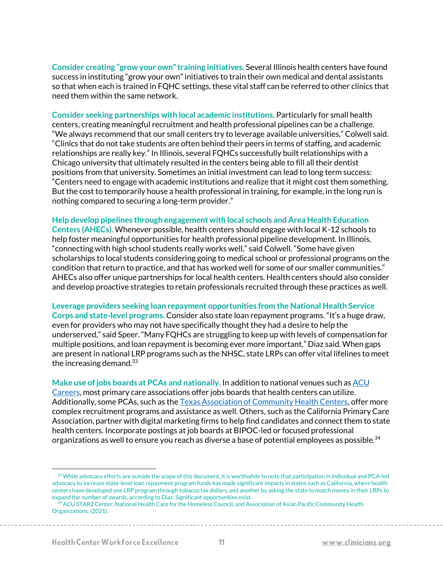**Consider creating "grow your own" training initiatives.** Several Illinois health centers have found success in instituting "grow your own" initiatives to train their own medical and dental assistants so that when each is trained in FQHC settings, these vital staff can be referred to other clinics that need them within the same network.

**Consider seeking partnerships with local academic institutions.** Particularly for small health centers, creating meaningful recruitment and health professional pipelines can be a challenge. "We always recommend that our small centers try to leverage available universities," Colwell said. "Clinics that do not take students are often behind their peers in terms of staffing, and academic relationships are really key." In Illinois, several FQHCs successfully built relationships with a Chicago university that ultimately resulted in the centers being able to fill all their dentist positions from that university. Sometimes an initial investment can lead to long term success: "Centers need to engage with academic institutions and realize that it might cost them something. But the cost to temporarily house a health professional in training, for example, in the long run is nothing compared to securing a long-term provider."

**Help develop pipelines through engagement with local schools and Area Health Education Centers (AHECs).** Whenever possible, health centers should engage with local K-12 schools to help foster meaningful opportunities for health professional pipeline development. In Illinois, "connecting with high school students really works well," said Colwell. "Some have given scholarships to local students considering going to medical school or professional programs on the condition that return to practice, and that has worked well for some of our smaller communities." AHECs also offer unique partnerships for local health centers. Health centers should also consider and develop proactive strategies to retain professionals recruited through these practices as well.

**Leverage providers seeking loan repayment opportunities from the National Health Service Corps and state-level programs.** Consider also state loan repayment programs. "It's a huge draw, even for providers who may not have specifically thought they had a desire to help the underserved," said Speer. "Many FQHCs are struggling to keep up with levels of compensation for multiple positions, and loan repayment is becoming ever more important," Diaz said. When gaps are present in national LRP programs such as the NHSC, state LRPs can offer vital lifelines to meet the increasing demand. $33$ 

**Make use of jobs boards at PCAs and nationally.** In addition to national venues such a[s ACU](http://careers.clinicians.org/)  [Careers,](http://careers.clinicians.org/) most primary care associations offer jobs boards that health centers can utilize. Additionally, some PCAs, such as th[e Texas Association of Community Health Centers,](https://www.tachc.org/) offer more complex recruitment programs and assistance as well. Others, such as the California Primary Care Association, partner with digital marketing firms to help find candidates and connect them to state health centers. Incorporate postings at job boards at BIPOC-led or focused professional organizations as well to ensure you reach as diverse a base of potential employees as possible.<sup>34</sup>

<sup>&</sup>lt;sup>33</sup> While advocacy efforts are outside the scope of this document, it is worthwhile to note that participation in individual and PCA-led advocacy to increase state-level loan repayment program funds has made significant impacts in states such as California, where health centers have developed one LRP program through tobacco tax dollars, and another by asking the state to match money in their LRPs to expand the number of awards, according to Diaz. Significant opportunities exist.

<sup>&</sup>lt;sup>34</sup> ACU STAR2 Center, National Health Care for the Homeless Council, and Association of Asian Pacific Community Health Organizations. (2021).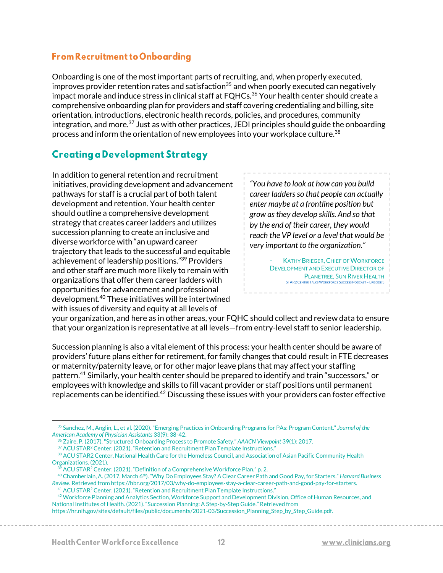#### **From Recruitment to Onboarding**

Onboarding is one of the most important parts of recruiting, and, when properly executed, improves provider retention rates and satisfaction<sup>35</sup> and when poorly executed can negatively impact morale and induce stress in clinical staff at FQHCs.<sup>36</sup> Your health center should create a comprehensive onboarding plan for providers and staff covering credentialing and billing, site orientation, introductions, electronic health records, policies, and procedures, community integration, and more.<sup>37</sup> Just as with other practices, JEDI principles should guide the onboarding process and inform the orientation of new employees into your workplace culture.<sup>38</sup>

## **Creating a Development Strategy**

In addition to general retention and recruitment initiatives, providing development and advancement pathways for staff is a crucial part of both talent development and retention. Your health center should outline a comprehensive development strategy that creates career ladders and utilizes succession planning to create an inclusive and diverse workforce with "an upward career trajectory that leads to the successful and equitable achievement of leadership positions." <sup>39</sup> Providers and other staff are much more likely to remain with organizations that offer them career ladders with opportunities for advancement and professional development.<sup>40</sup> These initiatives will be intertwined with issues of diversity and equity at all levels of

*"You have to look at how can you build career ladders so that people can actually enter maybe at a frontline position but grow as they develop skills. And so that by the end of their career, they would reach the VP level or a level that would be very important to the organization."*

> **KATHY BRIEGER, CHIEF OF WORKFORCE** DEVELOPMENT AND EXECUTIVE DIRECTOR OF PLANETREE, SUN RIVER HEALTH [STAR2C](https://chcworkforce.org/star-center-podcast-ep3/)ENTER TALKS WORKFORCE SUCCESS PODCAST – EPISODE 3

your organization, and here as in other areas, your FQHC should collect and review data to ensure that your organization is representative at all levels—from entry-level staff to senior leadership.

Succession planning is also a vital element of this process: your health center should be aware of providers' future plans either for retirement, for family changes that could result in FTE decreases or maternity/paternity leave, or for other major leave plans that may affect your staffing pattern.<sup>41</sup> Similarly, your health center should be prepared to identify and train "successors," or employees with knowledge and skills to fill vacant provider or staff positions until permanent replacements can be identified.<sup>42</sup> Discussing these issues with your providers can foster effective

 $^{39}$  ACU STAR<sup>2</sup> Center. (2021). "Definition of a Comprehensive Workforce Plan." p. 2.

<sup>42</sup> Workforce Planning and Analytics Section, Workforce Support and Development Division, Office of Human Resources, and National Institutes of Health. (2021). "Succession Planning: A Step-by-Step Guide." Retrieved from https://hr.nih.gov/sites/default/files/public/documents/2021-03/Succession\_Planning\_Step\_by\_Step\_Guide.pdf.

<sup>35</sup> Sanchez, M., Anglin, L., et al. (2020). "Emerging Practices in Onboarding Programs for PAs: Program Content." *Journal of the American Academy of Physician Assistants* 33(9): 38-42.

<sup>36</sup> Zaire, P. (2017). "Structured Onboarding Process to Promote Safety." *AAACN Viewpoint* 39(1): 2017.

<sup>37</sup> ACU STAR<sup>2</sup> Center. (2021). "Retention and Recruitment Plan Template Instructions."

<sup>38</sup> ACU STAR2 Center, National Health Care for the Homeless Council, and Association of Asian Pacific Community Health Organizations. (2021).

<sup>40</sup> Chamberlain, A. (2017, March 6th). "Why Do Employees Stay? A Clear Career Path and Good Pay, for Starters." *Harvard Business Review*. Retrieved from https://hbr.org/2017/03/why-do-employees-stay-a-clear-career-path-and-good-pay-for-starters.

<sup>&</sup>lt;sup>41</sup> ACU STAR<sup>2</sup> Center. (2021). "Retention and Recruitment Plan Template Instructions."